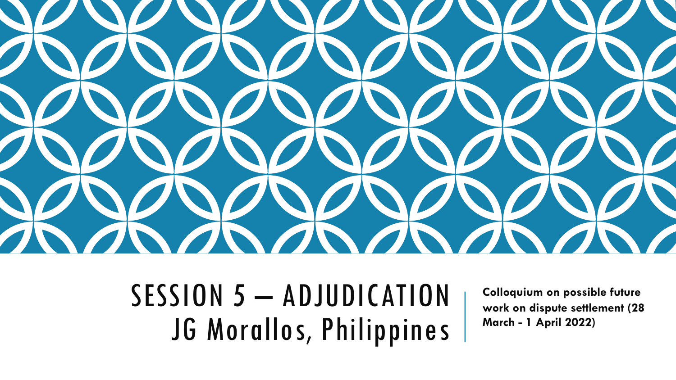

SESSION 5 - ADJUDICATION JG Morallos, Philippines

**Colloquium on possible future work on dispute settlement (28 March - 1 April 2022)**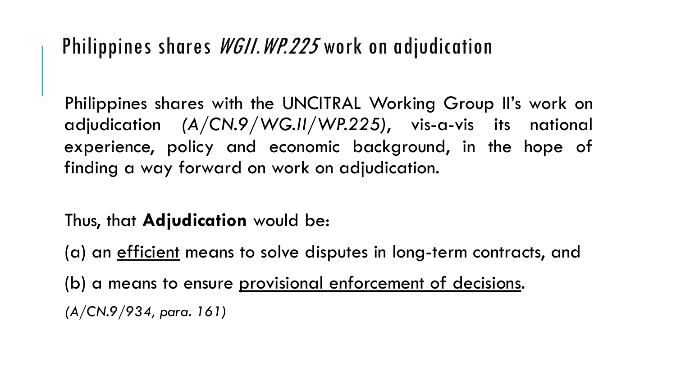## Philippines shares *WGII.WP.225* work on adjudication

Philippines shares with the UNCITRAL Working Group II's work on adjudication *(A/CN.9/WG.II/WP.225)*, vis-a-vis its national experience, policy and economic background, in the hope of finding a way forward on work on adjudication.

Thus, that **Adjudication** would be:

(a) an <u>efficient</u> means to solve disputes in long-term contracts, and (b) a means to ensure provisional enforcement of decisions. *(A/CN.9/934, para. 161)*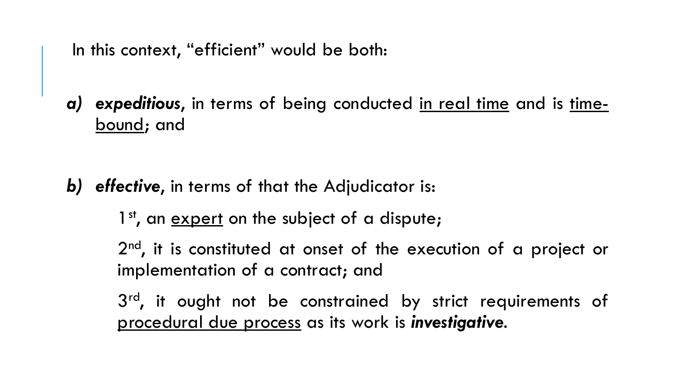In this context, "efficient" would be both:

*a) expeditious*, in terms of being conducted in real time and is timebound; and

- *b) effective*, in terms of that the Adjudicator is:
	- 1<sup>st</sup>, an expert on the subject of a dispute;

2<sup>nd</sup>, it is constituted at onset of the execution of a project or implementation of a contract; and

3<sup>rd</sup>, it ought not be constrained by strict requirements of procedural due process as its work is *investigative*.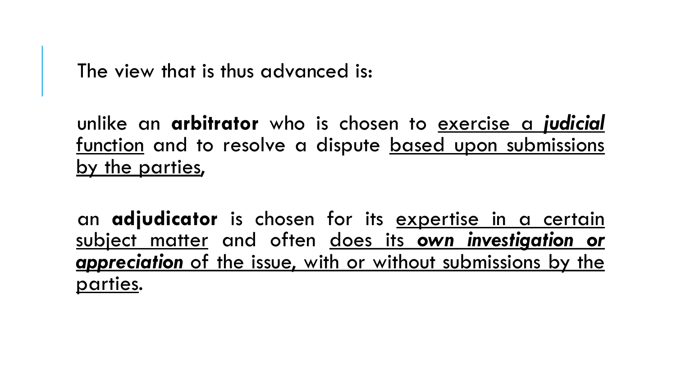The view that is thus advanced is:

unlike an **arbitrator** who is chosen to exercise a *judicial* function and to resolve a dispute based upon submissions by the parties,

an **adjudicator** is chosen for its expertise in a certain subject matter and often does its *own investigation or appreciation* of the issue, with or without submissions by the parties.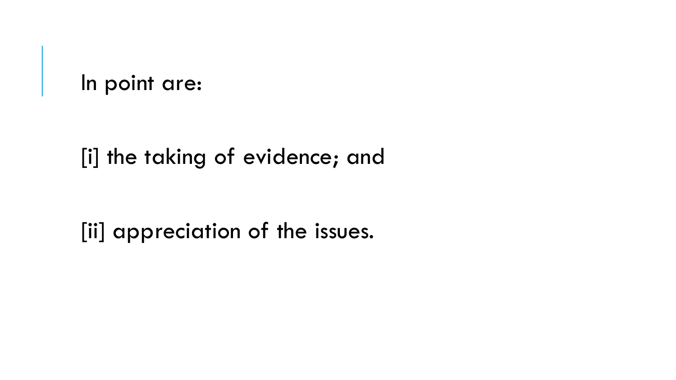In point are:

[i] the taking of evidence; and

[ii] appreciation of the issues.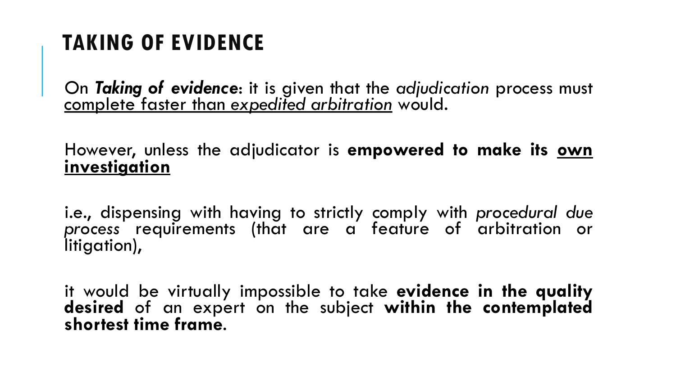## **TAKING OF EVIDENCE**

On *Taking of evidence*: it is given that the *adjudication* process must complete faster than *expedited arbitration* would.

However, unless the adjudicator is **empowered to make its own investigation**

i.e., dispensing with having to strictly comply with *procedural due process* requirements (that are a feature of arbitration or litigation),

it would be virtually impossible to take **evidence in the quality desired** of an expert on the subject **within the contemplated shortest time frame**.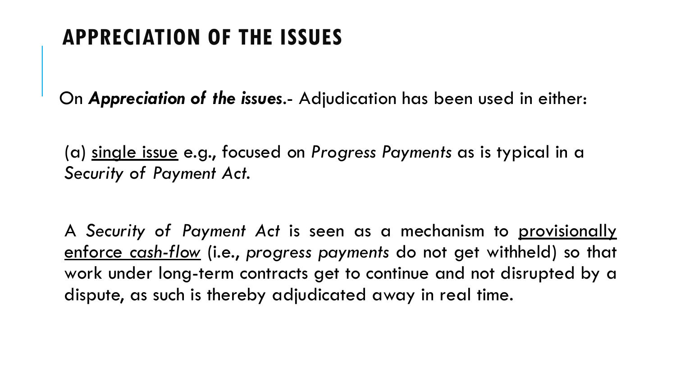## **APPRECIATION OF THE ISSUES**

On *Appreciation of the issues*.- Adjudication has been used in either:

(a) single issue e.g., focused on *Progress Payments* as is typical in a *Security of Payment Act*.

A *Security of Payment Act* is seen as a mechanism to provisionally enforce *cash-flow* (i.e., *progress payments* do not get withheld) so that work under long-term contracts get to continue and not disrupted by a dispute, as such is thereby adjudicated away in real time.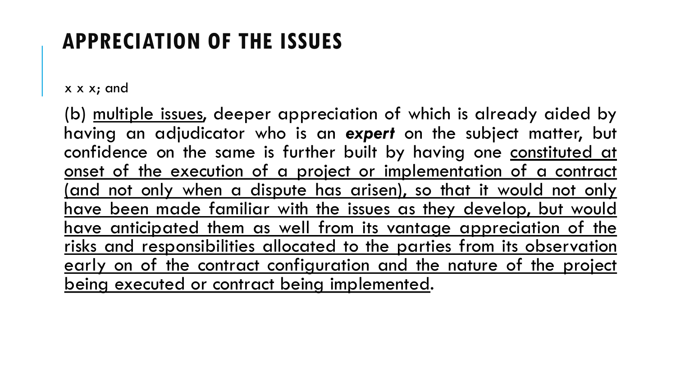## **APPRECIATION OF THE ISSUES**

x x x; and

(b) multiple issues, deeper appreciation of which is already aided by having an adjudicator who is an *expert* on the subject matter, but confidence on the same is further built by having one constituted at onset of the execution of a project or implementation of a contract (and not only when a dispute has arisen), so that it would not only have been made familiar with the issues as they develop, but would have anticipated them as well from its vantage appreciation of the risks and responsibilities allocated to the parties from its observation early on of the contract configuration and the nature of the project being executed or contract being implemented.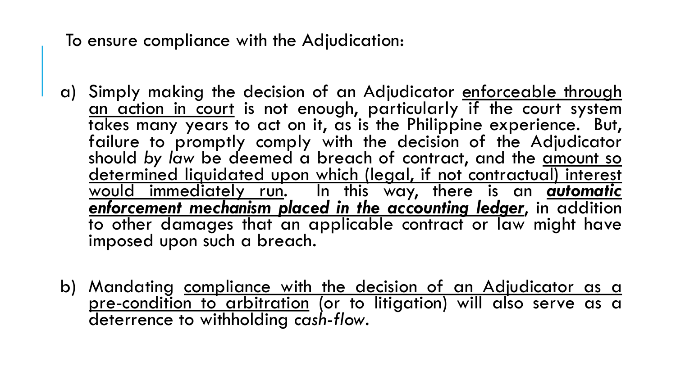To ensure compliance with the Adjudication:

- a) Simply making the decision of an Adjudicator enforceable through an action in court is not enough, particularly if the court system takes many years to act on it, as is the Philippine experience. But, failure to promptly comply with the decision of the Adjudicator should by law be deemed a breach of contract, and the amount so determined liquidated upon which (legal, if not contractual) interest would immediately run. In this way, there is an *automatic enforcement mechanism placed in the accounting ledger*, in addition to other damages that an applicable contract or law might have imposed upon such a breach.
- b) Mandating compliance with the decision of an Adjudicator as a pre-condition to arbitration (or to litigation) will also serve as a deterrence to withholding *cash-flow*.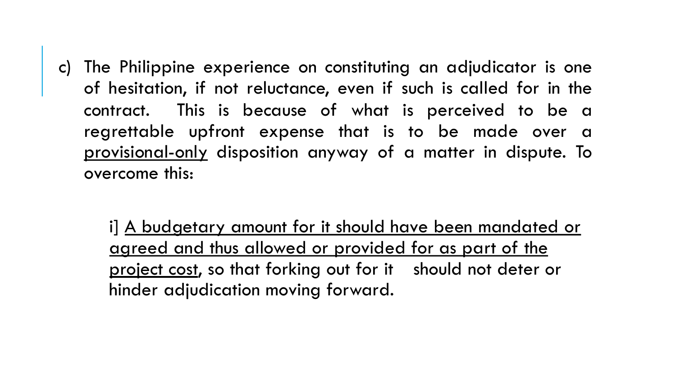c) The Philippine experience on constituting an adjudicator is one of hesitation, if not reluctance, even if such is called for in the contract. This is because of what is perceived to be a regrettable upfront expense that is to be made over a provisional-only disposition anyway of a matter in dispute. To overcome this:

i] A budgetary amount for it should have been mandated or agreed and thus allowed or provided for as part of the project cost, so that forking out for it should not deter or hinder adjudication moving forward.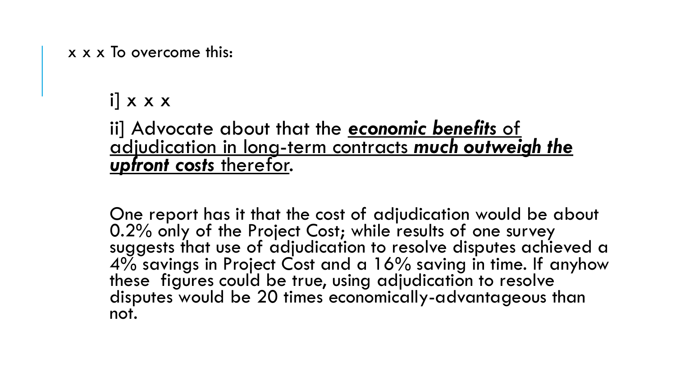x x x To overcome this:

 $i \mid x \times x$ 

ii] Advocate about that the *economic benefits* of adjudication in long-term contracts *much outweigh the upfront costs* therefor.

One report has it that the cost of adjudication would be about 0.2% only of the Project Cost; while results of one survey suggests that use of adjudication to resolve disputes achieved a 4% savings in Project Cost and a 16% saving in time. If anyhow these figures could be true, using adjudication to resolve disputes would be 20 times economically-advantageous than not.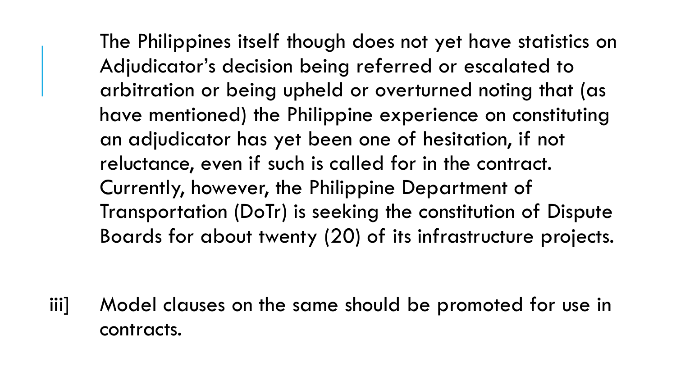The Philippines itself though does not yet have statistics on Adjudicator's decision being referred or escalated to arbitration or being upheld or overturned noting that (as have mentioned) the Philippine experience on constituting an adjudicator has yet been one of hesitation, if not reluctance, even if such is called for in the contract. Currently, however, the Philippine Department of Transportation (DoTr) is seeking the constitution of Dispute Boards for about twenty (20) of its infrastructure projects.

iii] Model clauses on the same should be promoted for use in contracts.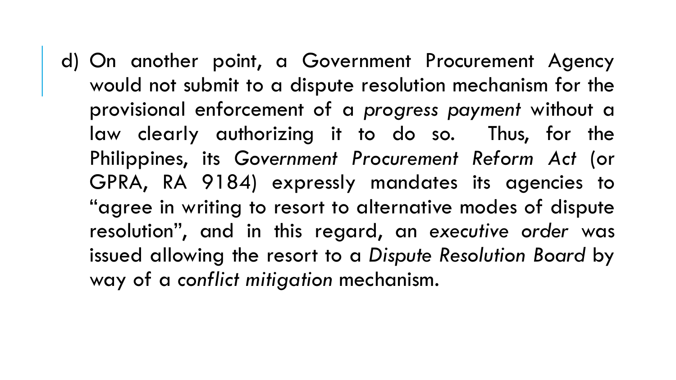d) On another point, a Government Procurement Agency would not submit to a dispute resolution mechanism for the provisional enforcement of a *progress payment* without a law clearly authorizing it to do so. Thus, for the Philippines, its *Government Procurement Reform Act* (or GPRA, RA 9184) expressly mandates its agencies to "agree in writing to resort to alternative modes of dispute resolution", and in this regard, an *executive order* was issued allowing the resort to a *Dispute Resolution Board* by way of a *conflict mitigation* mechanism.